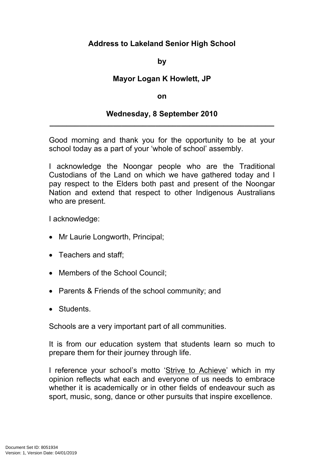## **Address to Lakeland Senior High School**

**by**

## **Mayor Logan K Howlett, JP**

## **on**

## **Wednesday, 8 September 2010 \_\_\_\_\_\_\_\_\_\_\_\_\_\_\_\_\_\_\_\_\_\_\_\_\_\_\_\_\_\_\_\_\_\_\_\_\_\_\_\_\_\_\_\_\_\_\_\_\_\_\_\_\_**

Good morning and thank you for the opportunity to be at your school today as a part of your 'whole of school' assembly.

I acknowledge the Noongar people who are the Traditional Custodians of the Land on which we have gathered today and I pay respect to the Elders both past and present of the Noongar Nation and extend that respect to other Indigenous Australians who are present.

I acknowledge:

- Mr Laurie Longworth, Principal;
- Teachers and staff:
- Members of the School Council:
- Parents & Friends of the school community; and
- Students.

Schools are a very important part of all communities.

It is from our education system that students learn so much to prepare them for their journey through life.

I reference your school's motto 'Strive to Achieve' which in my opinion reflects what each and everyone of us needs to embrace whether it is academically or in other fields of endeavour such as sport, music, song, dance or other pursuits that inspire excellence.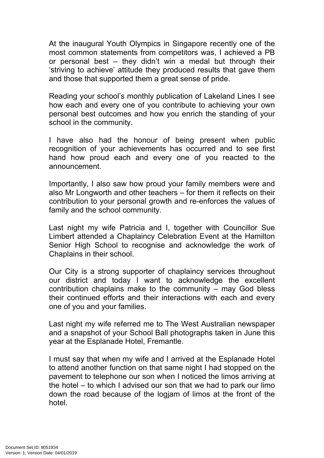At the inaugural Youth Olympics in Singapore recently one of the most common statements from competitors was, I achieved a PB or personal best – they didn't win a medal but through their 'striving to achieve' attitude they produced results that gave them and those that supported them a great sense of pride.

Reading your school's monthly publication of Lakeland Lines I see how each and every one of you contribute to achieving your own personal best outcomes and how you enrich the standing of your school in the community.

I have also had the honour of being present when public recognition of your achievements has occurred and to see first hand how proud each and every one of you reacted to the announcement.

Importantly, I also saw how proud your family members were and also Mr Longworth and other teachers – for them it reflects on their contribution to your personal growth and re-enforces the values of family and the school community.

Last night my wife Patricia and I, together with Councillor Sue Limbert attended a Chaplaincy Celebration Event at the Hamilton Senior High School to recognise and acknowledge the work of Chaplains in their school.

Our City is a strong supporter of chaplaincy services throughout our district and today I want to acknowledge the excellent contribution chaplains make to the community – may God bless their continued efforts and their interactions with each and every one of you and your families.

Last night my wife referred me to The West Australian newspaper and a snapshot of your School Ball photographs taken in June this year at the Esplanade Hotel, Fremantle.

I must say that when my wife and I arrived at the Esplanade Hotel to attend another function on that same night I had stopped on the pavement to telephone our son when I noticed the limos arriving at the hotel – to which I advised our son that we had to park our limo down the road because of the logjam of limos at the front of the hotel.